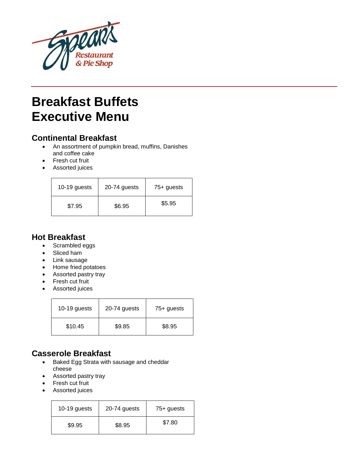

# **Breakfast Buffets Executive Menu**

# **Continental Breakfast**

- An assortment of pumpkin bread, muffins, Danishes and coffee cake
- Fresh cut fruit
- Assorted juices

| 10-19 guests | 20-74 guests | 75+ guests |
|--------------|--------------|------------|
| \$7.95       | \$6.95       | \$5.95     |

### **Hot Breakfast**

- Scrambled eggs
- Sliced ham
- Link sausage
- Home fried potatoes
- Assorted pastry tray
- Fresh cut fruit
- Assorted juices

| 10-19 guests | 20-74 guests | 75+ guests |
|--------------|--------------|------------|
| \$10.45      | \$9.85       | \$8.95     |

## **Casserole Breakfast**

- Baked Egg Strata with sausage and cheddar cheese
- Assorted pastry tray
- Fresh cut fruit
- Assorted juices

| 10-19 guests | 20-74 guests | 75+ guests |
|--------------|--------------|------------|
| \$9.95       | \$8.95       | \$7.80     |